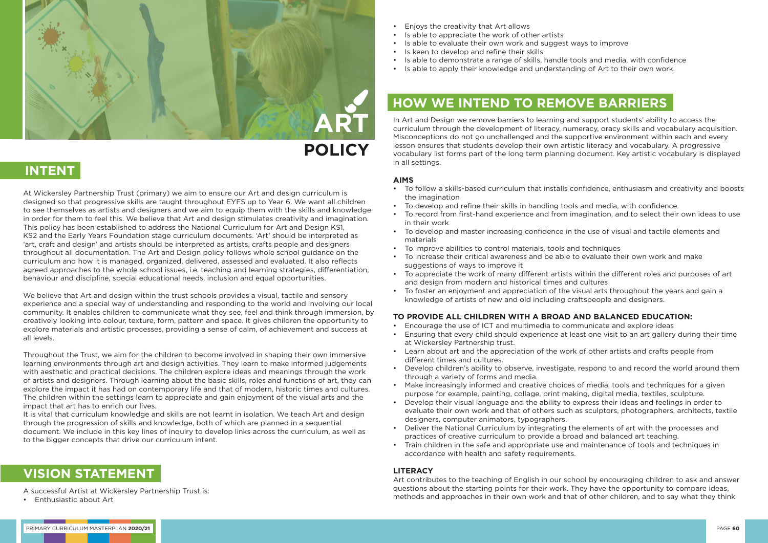At Wickersley Partnership Trust (primary) we aim to ensure our Art and design curriculum is designed so that progressive skills are taught throughout EYFS up to Year 6. We want all children to see themselves as artists and designers and we aim to equip them with the skills and knowledge in order for them to feel this. We believe that Art and design stimulates creativity and imagination. This policy has been established to address the National Curriculum for Art and Design KS1, KS2 and the Early Years Foundation stage curriculum documents. 'Art' should be interpreted as 'art, craft and design' and artists should be interpreted as artists, crafts people and designers throughout all documentation. The Art and Design policy follows whole school guidance on the curriculum and how it is managed, organized, delivered, assessed and evaluated. It also reflects agreed approaches to the whole school issues, i.e. teaching and learning strategies, differentiation, behaviour and discipline, special educational needs, inclusion and equal opportunities.

We believe that Art and design within the trust schools provides a visual, tactile and sensory experience and a special way of understanding and responding to the world and involving our local community. It enables children to communicate what they see, feel and think through immersion, by creatively looking into colour, texture, form, pattern and space. It gives children the opportunity to explore materials and artistic processes, providing a sense of calm, of achievement and success at all levels.

Throughout the Trust, we aim for the children to become involved in shaping their own immersive learning environments through art and design activities. They learn to make informed judgements with aesthetic and practical decisions. The children explore ideas and meanings through the work of artists and designers. Through learning about the basic skills, roles and functions of art, they can explore the impact it has had on contemporary life and that of modern, historic times and cultures. The children within the settings learn to appreciate and gain enjoyment of the visual arts and the impact that art has to enrich our lives.

It is vital that curriculum knowledge and skills are not learnt in isolation. We teach Art and design through the progression of skills and knowledge, both of which are planned in a sequential document. We include in this key lines of inquiry to develop links across the curriculum, as well as to the bigger concepts that drive our curriculum intent.

A successful Artist at Wickersley Partnership Trust is:

• Enthusiastic about Art

- Enjoys the creativity that Art allows
- Is able to appreciate the work of other artists
- Is able to evaluate their own work and suggest ways to improve
- Is keen to develop and refine their skills
- Is able to demonstrate a range of skills, handle tools and media, with confidence
- Is able to apply their knowledge and understanding of Art to their own work.

In Art and Design we remove barriers to learning and support students' ability to access the curriculum through the development of literacy, numeracy, oracy skills and vocabulary acquisition. Misconceptions do not go unchallenged and the supportive environment within each and every lesson ensures that students develop their own artistic literacy and vocabulary. A progressive vocabulary list forms part of the long term planning document. Key artistic vocabulary is displayed in all settings.

#### **AIMS**

- To follow a skills-based curriculum that installs confidence, enthusiasm and creativity and boosts the imagination
- To develop and refine their skills in handling tools and media, with confidence. • To record from first-hand experience and from imagination, and to select their own ideas to use
- in their work
- To develop and master increasing confidence in the use of visual and tactile elements and materials
- To improve abilities to control materials, tools and techniques • To increase their critical awareness and be able to evaluate their own work and make
- suggestions of ways to improve it
- To appreciate the work of many different artists within the different roles and purposes of art and design from modern and historical times and cultures
- To foster an enjoyment and appreciation of the visual arts throughout the years and gain a knowledge of artists of new and old including craftspeople and designers.

#### **TO PROVIDE ALL CHILDREN WITH A BROAD AND BALANCED EDUCATION:**

- Encourage the use of ICT and multimedia to communicate and explore ideas
- Ensuring that every child should experience at least one visit to an art gallery during their time at Wickersley Partnership trust.
- Learn about art and the appreciation of the work of other artists and crafts people from different times and cultures.
- Develop children's ability to observe, investigate, respond to and record the world around them through a variety of forms and media.
- Make increasingly informed and creative choices of media, tools and techniques for a given purpose for example, painting, collage, print making, digital media, textiles, sculpture.
- Develop their visual language and the ability to express their ideas and feelings in order to evaluate their own work and that of others such as sculptors, photographers, architects, textile designers, computer animators, typographers.
- Deliver the National Curriculum by integrating the elements of art with the processes and practices of creative curriculum to provide a broad and balanced art teaching.
- Train children in the safe and appropriate use and maintenance of tools and techniques in accordance with health and safety requirements.

#### **LITERACY**

Art contributes to the teaching of English in our school by encouraging children to ask and answer questions about the starting points for their work. They have the opportunity to compare ideas, methods and approaches in their own work and that of other children, and to say what they think



# **POLICY**

## **INTENT**

### **VISION STATEMENT**

# **HOW WE INTEND TO REMOVE BARRIERS**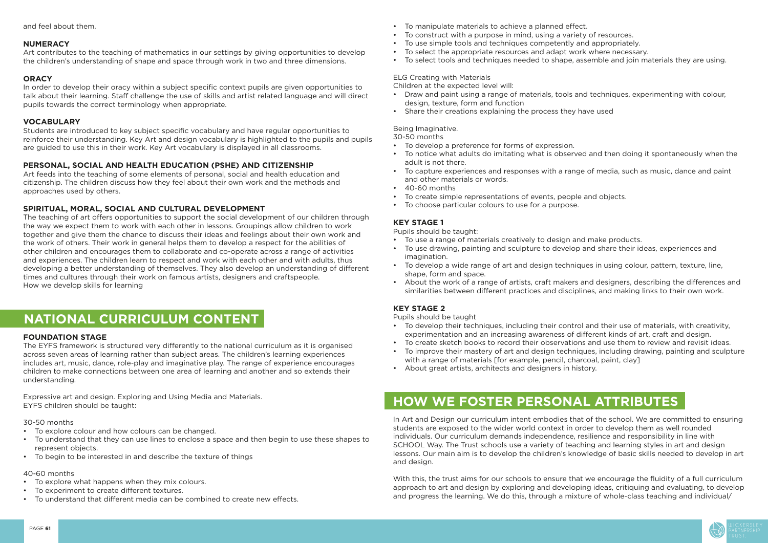

and feel about them.

#### **NUMERACY**

Art contributes to the teaching of mathematics in our settings by giving opportunities to develop the children's understanding of shape and space through work in two and three dimensions.

#### **ORACY**

In order to develop their oracy within a subject specific context pupils are given opportunities to talk about their learning. Staff challenge the use of skills and artist related language and will direct pupils towards the correct terminology when appropriate.

#### **VOCABULARY**

Students are introduced to key subject specific vocabulary and have regular opportunities to reinforce their understanding. Key Art and design vocabulary is highlighted to the pupils and pupils are guided to use this in their work. Key Art vocabulary is displayed in all classrooms.

#### **PERSONAL, SOCIAL AND HEALTH EDUCATION (PSHE) AND CITIZENSHIP**

Art feeds into the teaching of some elements of personal, social and health education and citizenship. The children discuss how they feel about their own work and the methods and approaches used by others.

#### **SPIRITUAL, MORAL, SOCIAL AND CULTURAL DEVELOPMENT**

The teaching of art offers opportunities to support the social development of our children through the way we expect them to work with each other in lessons. Groupings allow children to work together and give them the chance to discuss their ideas and feelings about their own work and the work of others. Their work in general helps them to develop a respect for the abilities of other children and encourages them to collaborate and co-operate across a range of activities and experiences. The children learn to respect and work with each other and with adults, thus developing a better understanding of themselves. They also develop an understanding of different times and cultures through their work on famous artists, designers and craftspeople. How we develop skills for learning

#### **FOUNDATION STAGE**

The EYFS framework is structured very differently to the national curriculum as it is organised across seven areas of learning rather than subject areas. The children's learning experiences includes art, music, dance, role-play and imaginative play. The range of experience encourages children to make connections between one area of learning and another and so extends their understanding.

Expressive art and design. Exploring and Using Media and Materials. EYFS children should be taught:

30-50 months

- To explore colour and how colours can be changed.
- To understand that they can use lines to enclose a space and then begin to use these shapes to represent objects.
- To begin to be interested in and describe the texture of things

#### 40-60 months

- To explore what happens when they mix colours.
- To experiment to create different textures.
- To understand that different media can be combined to create new effects.
- To manipulate materials to achieve a planned effect.
- To construct with a purpose in mind, using a variety of resources.
- To use simple tools and techniques competently and appropriately.
- To select the appropriate resources and adapt work where necessary.
- To select tools and techniques needed to shape, assemble and join materials they are using.

#### ELG Creating with Materials

Children at the expected level will:

- Draw and paint using a range of materials, tools and techniques, experimenting with colour, design, texture, form and function
- Share their creations explaining the process they have used

#### Being Imaginative.

30-50 months

- To develop a preference for forms of expression.
- To notice what adults do imitating what is observed and then doing it spontaneously when the adult is not there.
- To capture experiences and responses with a range of media, such as music, dance and paint and other materials or words.
- $40 60$  months
- To create simple representations of events, people and objects.
- To choose particular colours to use for a purpose.

#### **KEY STAGE 1**

Pupils should be taught:

- To use a range of materials creatively to design and make products.
- To use drawing, painting and sculpture to develop and share their ideas, experiences and imagination.
- To develop a wide range of art and design techniques in using colour, pattern, texture, line, shape, form and space.
- About the work of a range of artists, craft makers and designers, describing the differences and similarities between different practices and disciplines, and making links to their own work.

#### **KEY STAGE 2**

Pupils should be taught

- To develop their techniques, including their control and their use of materials, with creativity, experimentation and an increasing awareness of different kinds of art, craft and design.
- To create sketch books to record their observations and use them to review and revisit ideas.
- To improve their mastery of art and design techniques, including drawing, painting and sculpture with a range of materials [for example, pencil, charcoal, paint, clay]
- About great artists, architects and designers in history.

In Art and Design our curriculum intent embodies that of the school. We are committed to ensuring students are exposed to the wider world context in order to develop them as well rounded individuals. Our curriculum demands independence, resilience and responsibility in line with SCHOOL Way. The Trust schools use a variety of teaching and learning styles in art and design lessons. Our main aim is to develop the children's knowledge of basic skills needed to develop in art and design.

With this, the trust aims for our schools to ensure that we encourage the fluidity of a full curriculum approach to art and design by exploring and developing ideas, critiquing and evaluating, to develop and progress the learning. We do this, through a mixture of whole-class teaching and individual/

### **NATIONAL CURRICULUM CONTENT**

# **HOW WE FOSTER PERSONAL ATTRIBUTES**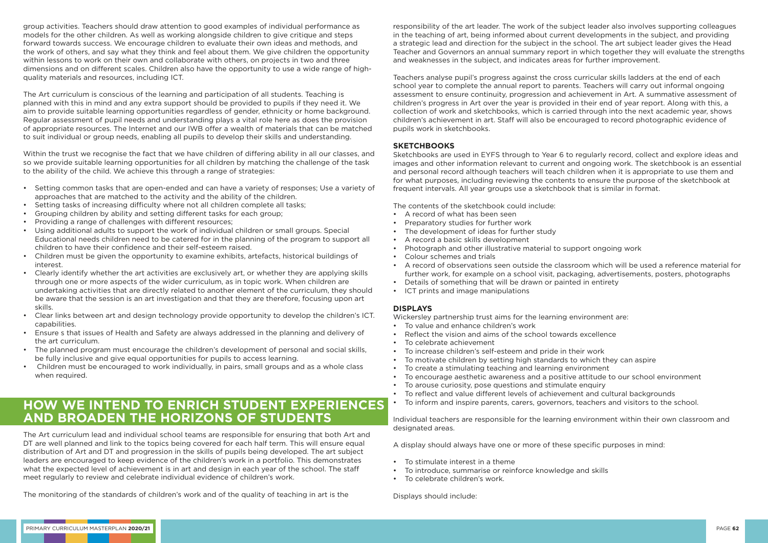group activities. Teachers should draw attention to good examples of individual performance as models for the other children. As well as working alongside children to give critique and steps forward towards success. We encourage children to evaluate their own ideas and methods, and the work of others, and say what they think and feel about them. We give children the opportunity within lessons to work on their own and collaborate with others, on projects in two and three dimensions and on different scales. Children also have the opportunity to use a wide range of highquality materials and resources, including ICT.

The Art curriculum is conscious of the learning and participation of all students. Teaching is planned with this in mind and any extra support should be provided to pupils if they need it. We aim to provide suitable learning opportunities regardless of gender, ethnicity or home background. Regular assessment of pupil needs and understanding plays a vital role here as does the provision of appropriate resources. The Internet and our IWB offer a wealth of materials that can be matched to suit individual or group needs, enabling all pupils to develop their skills and understanding.

Within the trust we recognise the fact that we have children of differing ability in all our classes, and so we provide suitable learning opportunities for all children by matching the challenge of the task to the ability of the child. We achieve this through a range of strategies:

- Setting common tasks that are open-ended and can have a variety of responses; Use a variety of approaches that are matched to the activity and the ability of the children.
- Setting tasks of increasing difficulty where not all children complete all tasks;
- Grouping children by ability and setting different tasks for each group;
- Providing a range of challenges with different resources;
- Using additional adults to support the work of individual children or small groups. Special Educational needs children need to be catered for in the planning of the program to support all children to have their confidence and their self-esteem raised.
- Children must be given the opportunity to examine exhibits, artefacts, historical buildings of interest.
- Clearly identify whether the art activities are exclusively art, or whether they are applying skills through one or more aspects of the wider curriculum, as in topic work. When children are undertaking activities that are directly related to another element of the curriculum, they should be aware that the session is an art investigation and that they are therefore, focusing upon art skills.
- Clear links between art and design technology provide opportunity to develop the children's ICT. capabilities.
- Ensure s that issues of Health and Safety are always addressed in the planning and delivery of the art curriculum.
- The planned program must encourage the children's development of personal and social skills, be fully inclusive and give equal opportunities for pupils to access learning.
- Children must be encouraged to work individually, in pairs, small groups and as a whole class when required.

- To stimulate interest in a theme
- To introduce, summarise or reinforce knowledge and skills
- To celebrate children's work.

The Art curriculum lead and individual school teams are responsible for ensuring that both Art and DT are well planned and link to the topics being covered for each half term. This will ensure equal distribution of Art and DT and progression in the skills of pupils being developed. The art subject leaders are encouraged to keep evidence of the children's work in a portfolio. This demonstrates what the expected level of achievement is in art and design in each year of the school. The staff meet regularly to review and celebrate individual evidence of children's work.

The monitoring of the standards of children's work and of the quality of teaching in art is the

responsibility of the art leader. The work of the subject leader also involves supporting colleagues in the teaching of art, being informed about current developments in the subject, and providing a strategic lead and direction for the subject in the school. The art subject leader gives the Head Teacher and Governors an annual summary report in which together they will evaluate the strengths and weaknesses in the subject, and indicates areas for further improvement.

Teachers analyse pupil's progress against the cross curricular skills ladders at the end of each school year to complete the annual report to parents. Teachers will carry out informal ongoing assessment to ensure continuity, progression and achievement in Art. A summative assessment of children's progress in Art over the year is provided in their end of year report. Along with this, a collection of work and sketchbooks, which is carried through into the next academic year, shows children's achievement in art. Staff will also be encouraged to record photographic evidence of pupils work in sketchbooks.

#### **SKETCHBOOKS**

Sketchbooks are used in EYFS through to Year 6 to regularly record, collect and explore ideas and images and other information relevant to current and ongoing work. The sketchbook is an essential and personal record although teachers will teach children when it is appropriate to use them and for what purposes, including reviewing the contents to ensure the purpose of the sketchbook at frequent intervals. All year groups use a sketchbook that is similar in format.

The contents of the sketchbook could include:

- A record of what has been seen
- Preparatory studies for further work
- The development of ideas for further study
- A record a basic skills development
- Photograph and other illustrative material to support ongoing work
- Colour schemes and trials
- A record of observations seen outside the classroom which will be used a reference material for further work, for example on a school visit, packaging, advertisements, posters, photographs
- Details of something that will be drawn or painted in entirety
- ICT prints and image manipulations

#### **DISPLAYS**

Wickersley partnership trust aims for the learning environment are:

- To value and enhance children's work
- Reflect the vision and aims of the school towards excellence
- To celebrate achievement
- To increase children's self-esteem and pride in their work
- To motivate children by setting high standards to which they can aspire
- To create a stimulating teaching and learning environment
- To encourage aesthetic awareness and a positive attitude to our school environment
- To arouse curiosity, pose questions and stimulate enquiry
- To reflect and value different levels of achievement and cultural backgrounds
- To inform and inspire parents, carers, governors, teachers and visitors to the school.

Individual teachers are responsible for the learning environment within their own classroom and designated areas.

A display should always have one or more of these specific purposes in mind:

Displays should include:

### **HOW WE INTEND TO ENRICH STUDENT EXPERIENCES AND BROADEN THE HORIZONS OF STUDENTS**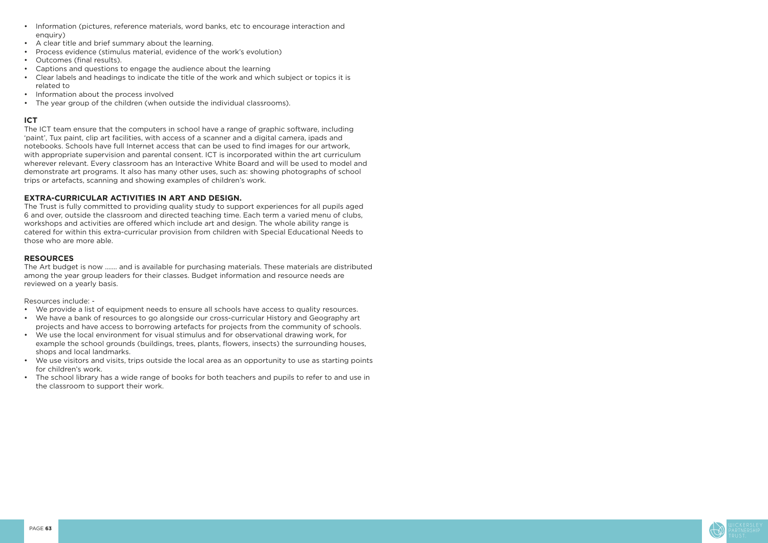

- Information (pictures, reference materials, word banks, etc to encourage interaction and enquiry)
- A clear title and brief summary about the learning.
- Process evidence (stimulus material, evidence of the work's evolution)
- Outcomes (final results).
- Captions and questions to engage the audience about the learning
- Clear labels and headings to indicate the title of the work and which subject or topics it is related to
- Information about the process involved
- The year group of the children (when outside the individual classrooms).

#### **ICT**

The ICT team ensure that the computers in school have a range of graphic software, including 'paint', Tux paint, clip art facilities, with access of a scanner and a digital camera, ipads and notebooks. Schools have full Internet access that can be used to find images for our artwork, with appropriate supervision and parental consent. ICT is incorporated within the art curriculum wherever relevant. Every classroom has an Interactive White Board and will be used to model and demonstrate art programs. It also has many other uses, such as: showing photographs of school trips or artefacts, scanning and showing examples of children's work.

#### **EXTRA-CURRICULAR ACTIVITIES IN ART AND DESIGN.**

The Trust is fully committed to providing quality study to support experiences for all pupils aged 6 and over, outside the classroom and directed teaching time. Each term a varied menu of clubs, workshops and activities are offered which include art and design. The whole ability range is catered for within this extra-curricular provision from children with Special Educational Needs to those who are more able.

#### **RESOURCES**

The Art budget is now ……. and is available for purchasing materials. These materials are distributed among the year group leaders for their classes. Budget information and resource needs are reviewed on a yearly basis.

Resources include: -

- We provide a list of equipment needs to ensure all schools have access to quality resources.
- We have a bank of resources to go alongside our cross-curricular History and Geography art projects and have access to borrowing artefacts for projects from the community of schools.
- We use the local environment for visual stimulus and for observational drawing work, for example the school grounds (buildings, trees, plants, flowers, insects) the surrounding houses, shops and local landmarks.
- We use visitors and visits, trips outside the local area as an opportunity to use as starting points for children's work.
- The school library has a wide range of books for both teachers and pupils to refer to and use in the classroom to support their work.